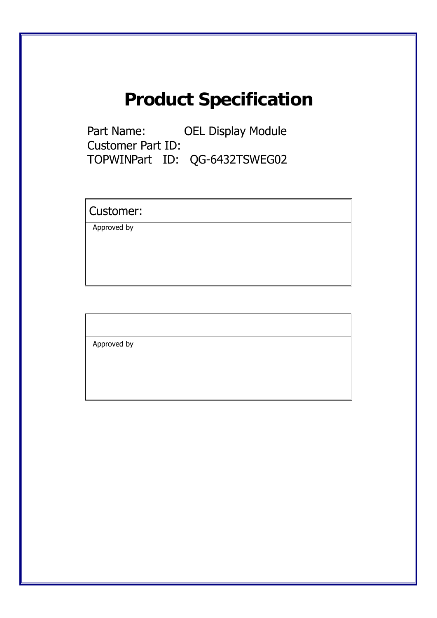# **Product Specification**

Part Name: OEL Display Module Customer Part ID: TOPWINPart ID: QG-6432TSWEG02

Customer:

Approved by

Approved by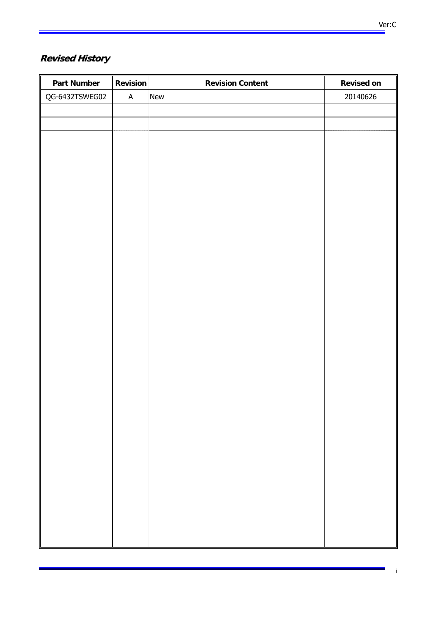| <b>Part Number</b> | <b>Revision</b> | <b>Revision Content</b> | <b>Revised on</b> |
|--------------------|-----------------|-------------------------|-------------------|
| QG-6432TSWEG02     | $\mathsf A$     | New                     | 20140626          |
|                    |                 |                         |                   |
|                    |                 |                         |                   |
|                    |                 |                         |                   |
|                    |                 |                         |                   |
|                    |                 |                         |                   |
|                    |                 |                         |                   |
|                    |                 |                         |                   |
|                    |                 |                         |                   |
|                    |                 |                         |                   |
|                    |                 |                         |                   |
|                    |                 |                         |                   |
|                    |                 |                         |                   |
|                    |                 |                         |                   |
|                    |                 |                         |                   |
|                    |                 |                         |                   |
|                    |                 |                         |                   |
|                    |                 |                         |                   |
|                    |                 |                         |                   |
|                    |                 |                         |                   |
|                    |                 |                         |                   |
|                    |                 |                         |                   |
|                    |                 |                         |                   |
|                    |                 |                         |                   |
|                    |                 |                         |                   |
|                    |                 |                         |                   |
|                    |                 |                         |                   |
|                    |                 |                         |                   |
|                    |                 |                         |                   |
|                    |                 |                         |                   |
|                    |                 |                         |                   |
|                    |                 |                         |                   |
|                    |                 |                         |                   |

i

×,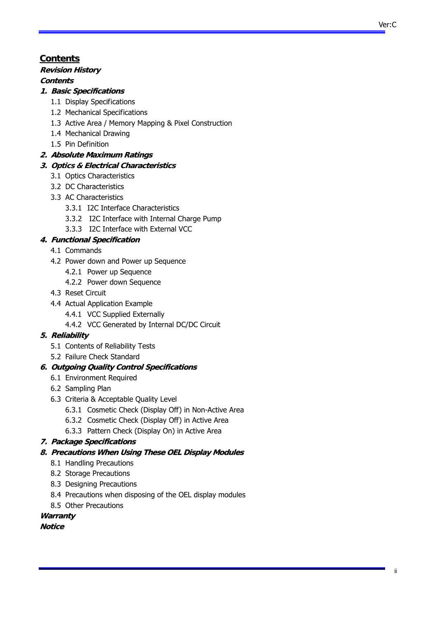# **Contents ontents**

# **Revision History**

# **Contents**

# **1. Basic Specifications**

- 1.1 Display Specifications
- 1.2 Mechanical Specifications
- 1.3 Active Area / Memory Mapping & Pixel Construction
- 1.4 Mechanical Drawing
- 1.5 Pin Definition

# **2. Absolute Maximum Ratings**

# **3. Optics & Electrical Characteristics**

- 3.1 Optics Characteristics
- 3.2 DC Characteristics
- 3.3 AC Characteristics
	- 3.3.1 I2C Interface Characteristics
	- 3.3.2 I2C Interface with Internal Charge Pump
	- 3.3.3 I2C Interface with External VCC

# **4. Functional Specification**

- 4.1 Commands
- 4.2 Power down and Power up Sequence
	- 4.2.1 Power up Sequence
	- 4.2.2 Power down Sequence
- 4.3 Reset Circuit
- 4.4 Actual Application Example
	- 4.4.1 VCC Supplied Externally
	- 4.4.2 VCC Generated by Internal DC/DC Circuit

# **5. Reliability**

- 5.1 Contents of Reliability Tests
- 5.2 Failure Check Standard

# **6. Outgoing Quality Control Specifications**

- 6.1 Environment Required
- 6.2 Sampling Plan
- 6.3 Criteria & Acceptable Quality Level
	- 6.3.1 Cosmetic Check (Display Off) in Non-Active Area
	- 6.3.2 Cosmetic Check (Display Off) in Active Area
	- 6.3.3 Pattern Check (Display On) in Active Area

# **7. Package Specifications**

- **8. Precautions When Using These OEL Display Modules**
	- 8.1 Handling Precautions
	- 8.2 Storage Precautions
	- 8.3 Designing Precautions
	- 8.4 Precautions when disposing of the OEL display modules
	- 8.5 Other Precautions

# **Warranty**

# **Notice**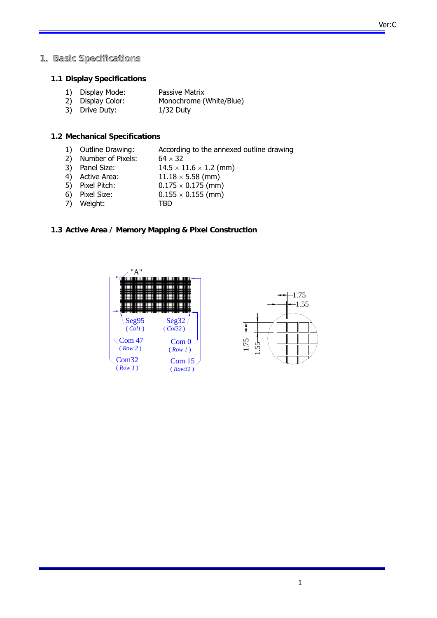#### **1. Basic Specifications**

#### **1.1 Display Specifications**

| 1) Display Mode:  | Passive Matrix          |
|-------------------|-------------------------|
| 2) Display Color: | Monochrome (White/Blue) |

3) Drive Duty: 1/32 Duty

#### **1.2 Mechanical Specifications**

- 1) Outline Drawing: According to the annexed outline drawing
- 2) Number of Pixels:  $64 \times 32$
- 3) Panel Size:  $14.5 \times 11.6 \times 1.2$  (mm)
- 4) Active Area:  $11.18 \times 5.58$  (mm)
- 5) Pixel Pitch:  $0.175 \times 0.175$  (mm)
- 6) Pixel Size:  $0.155 \times 0.155$  (mm)
- 7) Weight: TBD
	-

#### **1.3 Active Area / Memory Mapping & Pixel Construction**



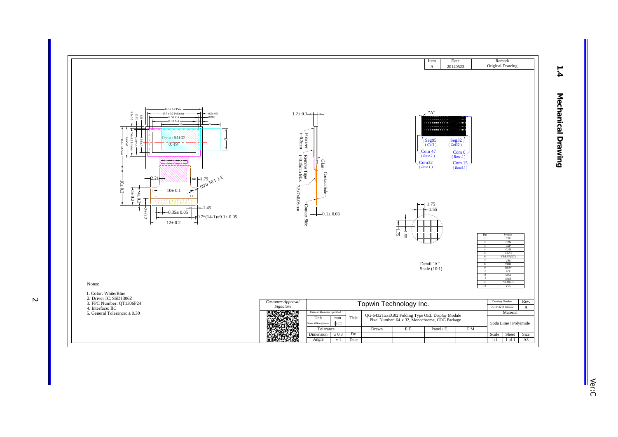

 Ver:C  $\frac{1}{\sqrt{6}}$ r:C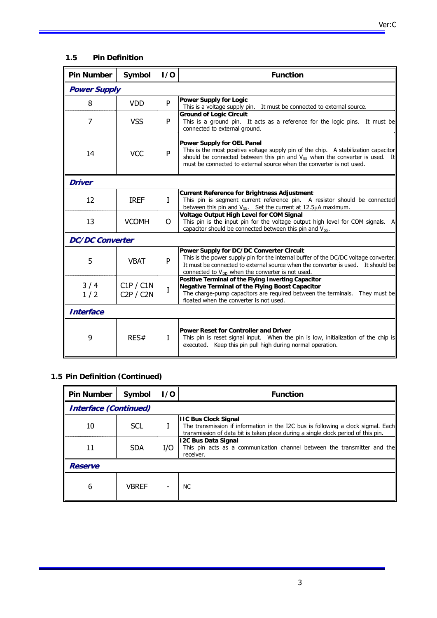# **1.5 Pin Definition**

| <b>Pin Number</b>      | Symbol                 | 1/0          | <b>Function</b>                                                                                                                                                                                                                                                                      |
|------------------------|------------------------|--------------|--------------------------------------------------------------------------------------------------------------------------------------------------------------------------------------------------------------------------------------------------------------------------------------|
| <b>Power Supply</b>    |                        |              |                                                                                                                                                                                                                                                                                      |
| 8                      | <b>VDD</b>             | P            | <b>Power Supply for Logic</b><br>This is a voltage supply pin. It must be connected to external source.                                                                                                                                                                              |
| 7                      | <b>VSS</b>             | P            | <b>Ground of Logic Circuit</b><br>This is a ground pin. It acts as a reference for the logic pins. It must be<br>connected to external ground.                                                                                                                                       |
| 14                     | <b>VCC</b>             | P            | <b>Power Supply for OEL Panel</b><br>This is the most positive voltage supply pin of the chip. A stabilization capacitor<br>should be connected between this pin and $V_{SS}$ when the converter is used. It<br>must be connected to external source when the converter is not used. |
| Driver                 |                        |              |                                                                                                                                                                                                                                                                                      |
| 12                     | <b>IREF</b>            | $\mathbf{I}$ | <b>Current Reference for Brightness Adjustment</b><br>This pin is segment current reference pin. A resistor should be connected<br>between this pin and $V_{SS}$ . Set the current at 12.5 $\mu$ A maximum.                                                                          |
| 13                     | <b>VCOMH</b>           | $\Omega$     | <b>Voltage Output High Level for COM Signal</b><br>This pin is the input pin for the voltage output high level for COM signals. A<br>capacitor should be connected between this pin and $V_{SS}$ .                                                                                   |
| <b>DC/DC Converter</b> |                        |              |                                                                                                                                                                                                                                                                                      |
| 5                      | <b>VBAT</b>            | P            | Power Supply for DC/DC Converter Circuit<br>This is the power supply pin for the internal buffer of the DC/DC voltage converter.<br>It must be connected to external source when the converter is used. It should be<br>connected to V <sub>DD</sub> when the converter is not used. |
| 3/4<br>1/2             | C1P / C1N<br>C2P / C2N | $\mathbf I$  | Positive Terminal of the Flying Inverting Capacitor<br><b>Negative Terminal of the Flying Boost Capacitor</b><br>The charge-pump capacitors are required between the terminals. They must be<br>floated when the converter is not used.                                              |
| <b>Interface</b>       |                        |              |                                                                                                                                                                                                                                                                                      |
| 9                      | RES#                   | $\mathbf{I}$ | <b>Power Reset for Controller and Driver</b><br>This pin is reset signal input. When the pin is low, initialization of the chip is<br>executed. Keep this pin pull high during normal operation.                                                                                     |

# **1.5 Pin Definition (Continued)**

| <b>Pin Number</b>            | Symbol       | 1/0 | <b>Function</b>                                                                                                                                                                                      |
|------------------------------|--------------|-----|------------------------------------------------------------------------------------------------------------------------------------------------------------------------------------------------------|
| <b>Interface (Continued)</b> |              |     |                                                                                                                                                                                                      |
| 10                           | <b>SCL</b>   |     | <b>IIC Bus Clock Signal</b><br>The transmission if information in the I2C bus is following a clock sigmal. Each<br>transmission of data bit is taken place during a single clock period of this pin. |
| 11                           | <b>SDA</b>   | I/O | 12C Bus Data Signal<br>This pin acts as a communication channel between the transmitter and the<br>receiver.                                                                                         |
| <b>Reserve</b>               |              |     |                                                                                                                                                                                                      |
| 6                            | <b>VBREF</b> |     | <b>NC</b>                                                                                                                                                                                            |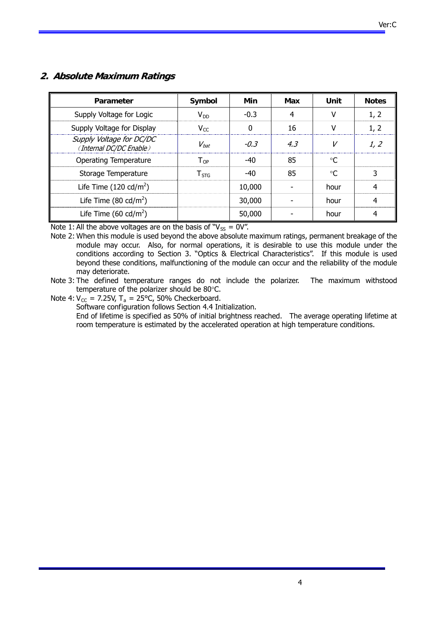# **2. Absolute Maximum Ratings**

| Parameter                                           | Symbol                     | Min      | Max | Unit            | <b>Notes</b>   |
|-----------------------------------------------------|----------------------------|----------|-----|-----------------|----------------|
| Supply Voltage for Logic                            | $V_{DD}$                   | $-0.3$   | 4   | v               | 1, 2           |
| Supply Voltage for Display                          | $V_{CC}$                   | $\Omega$ | 16  | v               | 1, 2           |
| Supply Voltage for DC/DC<br>(Internal DC/DC Enable) | $V_{bat}$                  | $-0.3$   | 4.3 | V               | 1, 2           |
| <b>Operating Temperature</b>                        | $\mathsf{T}_{\mathsf{OP}}$ | $-40$    | 85  | °C              |                |
| Storage Temperature                                 | ${\mathsf T}_{\text{STG}}$ | $-40$    | 85  | $\rm ^{\circ}C$ | 3              |
| Life Time $(120 \text{ cd/m}^2)$                    |                            | 10,000   |     | hour            | $\overline{4}$ |
| Life Time $(80 \text{ cd/m}^2)$                     |                            | 30,000   |     | hour            | 4              |
| Life Time (60 cd/m <sup>2</sup> )                   |                            | 50,000   |     | hour            | 4              |

Note 1: All the above voltages are on the basis of " $V_{SS} = 0V$ ".

Note 2: When this module is used beyond the above absolute maximum ratings, permanent breakage of the module may occur. Also, for normal operations, it is desirable to use this module under the conditions according to Section 3. "Optics & Electrical Characteristics". If this module is used beyond these conditions, malfunctioning of the module can occur and the reliability of the module may deteriorate.

Note 3: The defined temperature ranges do not include the polarizer. The maximum withstood temperature of the polarizer should be 80°C.

Note 4:  $V_{CC} = 7.25V$ ,  $T_a = 25^{\circ}C$ , 50% Checkerboard.

Software configuration follows Section 4.4 Initialization.

End of lifetime is specified as 50% of initial brightness reached. The average operating lifetime at room temperature is estimated by the accelerated operation at high temperature conditions.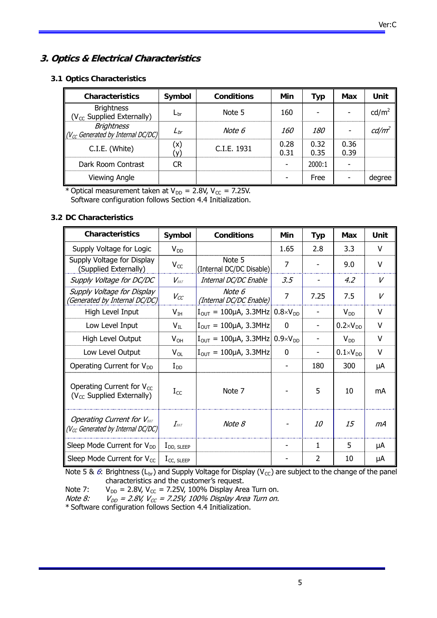# **3. Optics & Electrical Characteristics**

#### **3.1 Optics Characteristics**

| <b>Characteristics</b>                                      | Symbol       | <b>Conditions</b> | Min          | Typ          | Max          | Unit              |
|-------------------------------------------------------------|--------------|-------------------|--------------|--------------|--------------|-------------------|
| <b>Brightness</b><br>(V <sub>cc</sub> Supplied Externally)  | $L_{\rm br}$ | Note 5            | 160          |              |              | cd/m <sup>2</sup> |
| <b>Brightness</b><br>$(V_{cc}$ Generated by Internal DC/DC) | $L_{br}$     | Note 6            | <i>160</i>   | <i>180</i>   |              | cd/m <sup>2</sup> |
| C.I.E. (White)                                              | (x)          | C.I.E. 1931       | 0.28<br>0.31 | 0.32<br>0.35 | 0.36<br>0.39 |                   |
| Dark Room Contrast                                          | <b>CR</b>    |                   |              | 2000:1       |              |                   |
| <b>Viewing Angle</b>                                        |              |                   |              | Free         |              | degree            |

\* Optical measurement taken at  $V_{DD} = 2.8V$ ,  $V_{CC} = 7.25V$ . Software configuration follows Section 4.4 Initialization.

#### **3.2 DC Characteristics**

| <b>Characteristics</b>                                                         | Symbol                    | <b>Conditions</b>                                         | Min      | <b>Typ</b> | Max                 | Unit   |
|--------------------------------------------------------------------------------|---------------------------|-----------------------------------------------------------|----------|------------|---------------------|--------|
| Supply Voltage for Logic                                                       | $V_{DD}$                  |                                                           | 1.65     | 2.8        | 3.3                 | V      |
| Supply Voltage for Display<br>(Supplied Externally)                            | $V_{CC}$                  | Note 5<br>(Internal DC/DC Disable)                        | 7        |            | 9.0                 | $\vee$ |
| Supply Voltage for DC/DC                                                       | $V_{\text{BAT}}$          | Internal DC/DC Enable                                     | 3.5      |            | 4.2                 | V      |
| Supply Voltage for Display<br>(Generated by Internal DC/DC)                    | $V_{CC}$                  | Note 6<br>(Internal DC/DC Enable)                         | 7        | 7.25       | 7.5                 | V      |
| High Level Input                                                               | $V_{IH}$                  | $I_{\text{OUT}} = 100 \mu A$ , 3.3MHz 0.8×V <sub>DD</sub> |          |            | $V_{DD}$            | V      |
| Low Level Input                                                                | $V_{IL}$                  | $I_{\text{OUT}} = 100 \mu A$ , 3.3MHz                     | $\Omega$ |            | $0.2 \times V_{DD}$ | v      |
| High Level Output                                                              | $V_{OH}$                  | $I_{\text{OUT}} = 100 \mu A$ , 3.3MHz 0.9×V <sub>DD</sub> |          |            | $V_{DD}$            | V      |
| Low Level Output                                                               | $V_{OL}$                  | $I_{\text{OUT}} = 100 \mu A$ , 3.3MHz                     | $\Omega$ |            | $0.1\times V_{DD}$  | $\vee$ |
| Operating Current for V <sub>DD</sub>                                          | $I_{DD}$                  |                                                           |          | 180        | 300                 | μA     |
| Operating Current for V <sub>CC</sub><br>(V <sub>cc</sub> Supplied Externally) | $I_{CC}$                  | Note 7                                                    |          | 5          | 10                  | mA     |
| <b>Operating Current for VBAT</b><br>$(V_{CC}$ Generated by Internal DC/DC)    | $\emph{I}_{\textit{BAT}}$ | Note 8                                                    |          | <i>10</i>  | 15                  | mА     |
| Sleep Mode Current for V <sub>DD</sub>                                         | $I_{DD, SLEEP}$           |                                                           |          | 1          | 5                   | μA     |
| Sleep Mode Current for $V_{CC}$                                                | $I_{CC, SLEEP}$           |                                                           |          | 2          | 10                  | μA     |

Note 5 & 6: Brightness (L<sub>br</sub>) and Supply Voltage for Display (V<sub>cc</sub>) are subject to the change of the panel characteristics and the customer's request.

Note 7:  $V_{DD} = 2.8V$ ,  $V_{CC} = 7.25V$ , 100% Display Area Turn on.

Note 8:  $V_{DD} = 2.8V$ ,  $V_{CC} = 7.25V$ , 100% Display Area Turn on.

\* Software configuration follows Section 4.4 Initialization.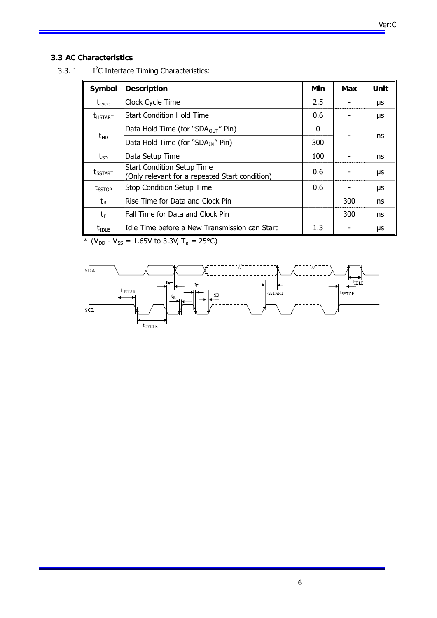# **3.3 AC Characteristics**

| Symbol                | <b>Description</b>                                                                  | Min | Max | Unit |
|-----------------------|-------------------------------------------------------------------------------------|-----|-----|------|
| $t_{\text{cycle}}$    | Clock Cycle Time                                                                    | 2.5 |     | μs   |
| <b><i>LHSTART</i></b> | <b>Start Condition Hold Time</b>                                                    | 0.6 |     | μs   |
| $t_{HD}$              | Data Hold Time (for "SDA $_{\text{OUT}}$ " Pin)                                     | 0   |     |      |
|                       | Data Hold Time (for "SDA <sub>IN</sub> " Pin)                                       | 300 |     | ns   |
| $t_{SD}$              | Data Setup Time                                                                     | 100 |     | ns   |
| <b>t</b> sstart       | <b>Start Condition Setup Time</b><br>(Only relevant for a repeated Start condition) | 0.6 |     | μs   |
| $t_{SSTOP}$           | <b>Stop Condition Setup Time</b>                                                    | 0.6 |     | μs   |
| $t_{\sf R}$           | Rise Time for Data and Clock Pin                                                    |     | 300 | ns   |
| $t_{\text{F}}$        | Fall Time for Data and Clock Pin                                                    |     | 300 | ns   |
| $t_{\text{IDLE}}$     | IIdle Time before a New Transmission can Start                                      | 1.3 |     | μs   |

 $3.3.1$ I<sup>2</sup>C Interface Timing Characteristics:

\*  $(V_{DD} - V_{SS} = 1.65V$  to 3.3V, T<sub>a</sub> = 25°C)

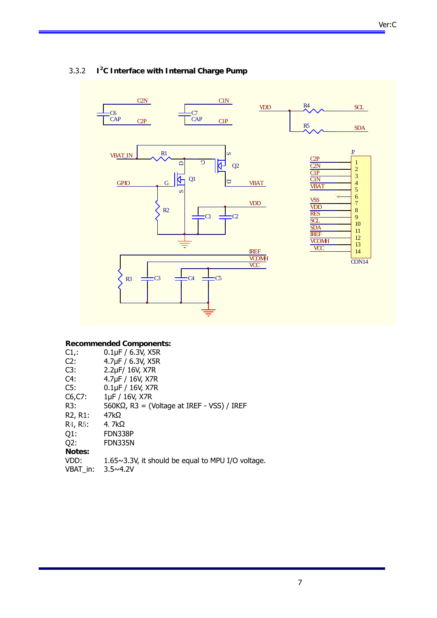

#### 3.3.2 **I2 C Interface with Internal Charge Pump**

#### **Recommended Components:**

|                                   | Recommended components.                                   |
|-----------------------------------|-----------------------------------------------------------|
| $C1$ .                            | $0.1 \mu F / 6.3 V$ , X5R                                 |
| C2:                               | 4.7µF / 6.3V, X5R                                         |
| C3:                               | 2.2µF/ 16V, X7R                                           |
| C4:                               | 4.7µF / 16V, X7R                                          |
| C5:                               | $0.1\,\text{µF}$ / $16\,\text{V}$ , X7R                   |
| $C6, C7$ :                        | 1µF / 16V, X7R                                            |
| R3:                               | $560K\Omega$ , R3 = (Voltage at IREF - VSS) / IREF        |
| R <sub>2</sub> , R <sub>1</sub> : | 47k $\Omega$                                              |
| R <sub>4</sub> , R <sub>5</sub> : | 4. $7k\Omega$                                             |
| Q1:                               | FDN338P                                                   |
| Q2:                               | <b>FDN335N</b>                                            |
| Notes:                            |                                                           |
| VDD:                              | $1.65 \sim 3.3$ V, it should be equal to MPU I/O voltage. |
| VBAT in:                          | $3.5 \times 4.2V$                                         |
|                                   |                                                           |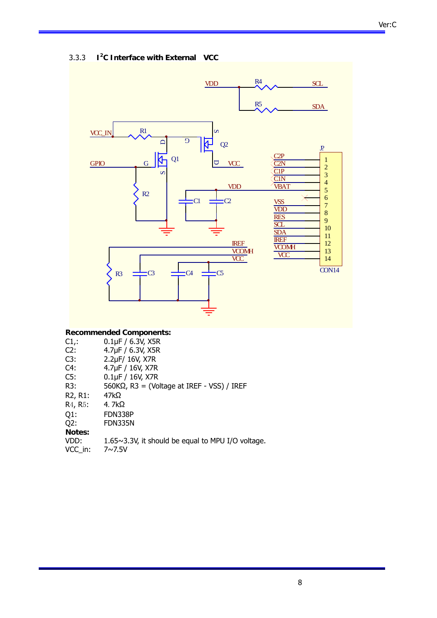#### 3.3.3 **I2 C Interface with External VCC**



#### **Recommended Components:**

| $C1$ .                            | $0.1\,\text{µF}$ / 6.3V, X5R                              |
|-----------------------------------|-----------------------------------------------------------|
| C2:                               | 4.7µF / 6.3V, X5R                                         |
| C3:                               | 2.2µF/ 16V, X7R                                           |
| C4:                               | 4.7µF / 16V, X7R                                          |
| C5:                               | $0.1\,\text{µF}$ / $16\,\text{V}$ , X7R                   |
| R3:                               | $560K\Omega$ , R3 = (Voltage at IREF - VSS) / IREF        |
| R <sub>2</sub> , R <sub>1</sub> : | 47kΩ                                                      |
| R <sub>4</sub> , R <sub>5</sub> : | 4. $7k\Omega$                                             |
| $Q1$ :                            | FDN338P                                                   |
| Q2:                               | FDN335N                                                   |
| Notes:                            |                                                           |
| VDD:                              | $1.65 \sim 3.3$ V, it should be equal to MPU I/O voltage. |
| VCC in:                           | $7 \sim 7.5 V$                                            |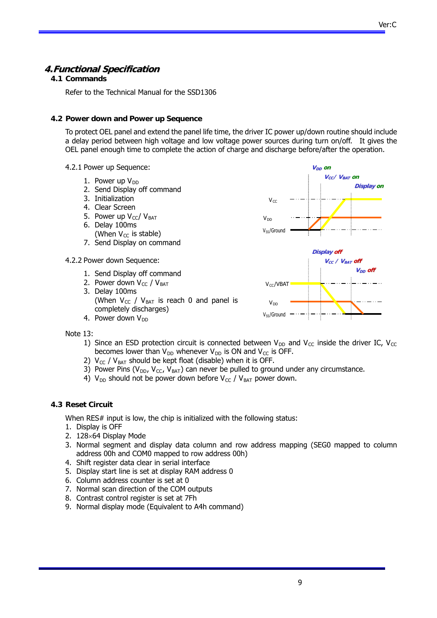# **4.Functional Specification**

#### **4.1 Commands**

Refer to the Technical Manual for the SSD1306

#### **4.2 Power down and Power up Sequence**

To protect OEL panel and extend the panel life time, the driver IC power up/down routine should include a delay period between high voltage and low voltage power sources during turn on/off. It gives the OEL panel enough time to complete the action of charge and discharge before/after the operation.

- 4.2.1 Power up Sequence:
	- 1. Power up  $V_{DD}$
	- 2. Send Display off command
	- 3. Initialization
	- 4. Clear Screen
	- 5. Power up  $V_{\text{c}}/V_{\text{BAT}}$ 6. Delay 100ms
	- (When  $V_{CC}$  is stable)
	- 7. Send Display on command
- 4.2.2 Power down Sequence:
	- 1. Send Display off command
	- 2. Power down  $V_{CC}$  /  $V_{BAT}$ 3. Delay 100ms (When  $V_{CC}$  /  $V_{BAT}$  is reach 0 and panel is completely discharges) 4. Power down  $V_{DD}$



Note 13:

- 1) Since an ESD protection circuit is connected between  $V_{DD}$  and  $V_{CC}$  inside the driver IC,  $V_{CC}$ becomes lower than  $V_{DD}$  whenever  $V_{DD}$  is ON and  $V_{CC}$  is OFF.
- 2)  $V_{CC}$  /  $V_{BAT}$  should be kept float (disable) when it is OFF.
- 3) Power Pins ( $V_{DD}$ ,  $V_{CC}$ ,  $V_{BAT}$ ) can never be pulled to ground under any circumstance.
- 4)  $V_{DD}$  should not be power down before  $V_{CC}$  /  $V_{BAT}$  power down.

#### **4.3 Reset Circuit**

When RES# input is low, the chip is initialized with the following status:

- 1. Display is OFF
- 2.  $128\times64$  Display Mode
- 3. Normal segment and display data column and row address mapping (SEG0 mapped to column address 00h and COM0 mapped to row address 00h)
- 4. Shift register data clear in serial interface
- 5. Display start line is set at display RAM address 0
- 6. Column address counter is set at 0
- 7. Normal scan direction of the COM outputs
- 8. Contrast control register is set at 7Fh
- 9. Normal display mode (Equivalent to A4h command)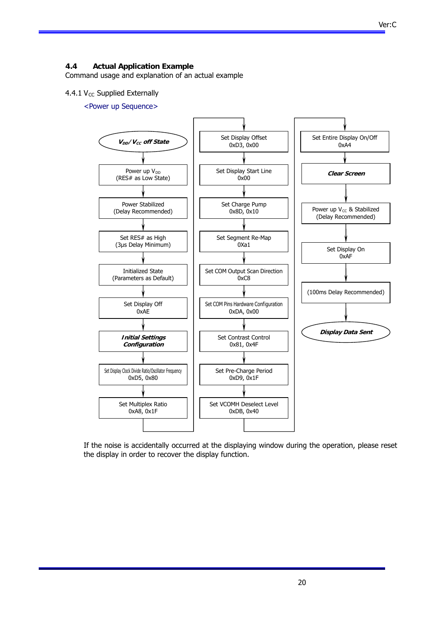#### **4.4 Actual Application Example**

Command usage and explanation of an actual example

#### 4.4.1  $V_{CC}$  Supplied Externally

<Power up Sequence>



If the noise is accidentally occurred at the displaying window during the operation, please reset the display in order to recover the display function.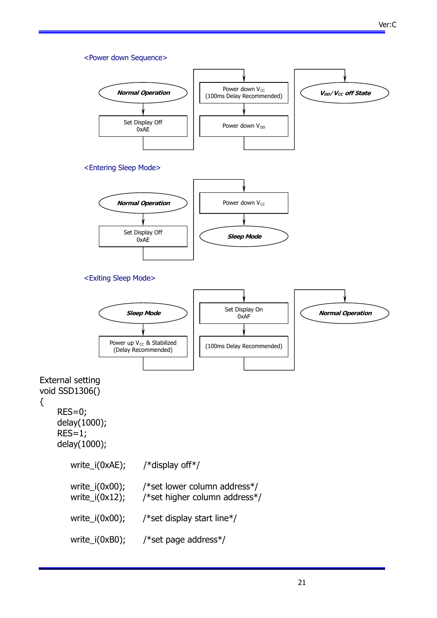#### <Power down Sequence>





#### <Exiting Sleep Mode>



External setting void SSD1306()

{

 RES=0; delay(1000);  $RES=1;$ delay(1000);

| $write_i(0xAE);$                         | /*display off*/                                               |
|------------------------------------------|---------------------------------------------------------------|
| write_i( $0x00$ );<br>write_ $i(0x12)$ ; | /*set lower column address*/<br>/*set higher column address*/ |
| write_ $i(0x00)$ ;                       | /*set display start line*/                                    |
| write_i( $0$ xB $0$ );                   | /*set page address*/                                          |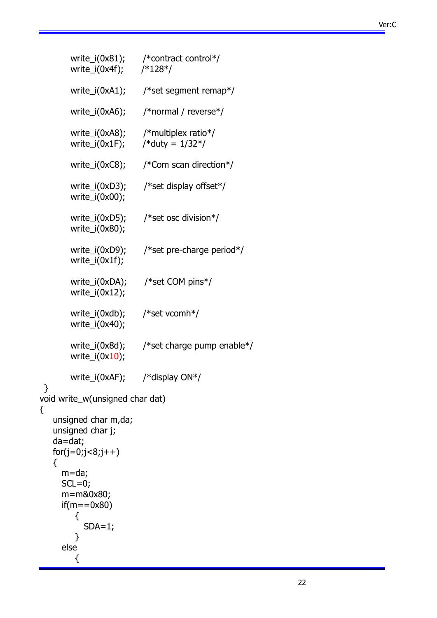# Ver:C

| write_i(0x4f); /*128*/                                                         | write_i(0x81); /*contract control*/                     |
|--------------------------------------------------------------------------------|---------------------------------------------------------|
| write_i(0xA1);                                                                 | /*set segment remap*/                                   |
| write_i(0xA6);                                                                 | /*normal / reverse*/                                    |
| write_i(0x1F);                                                                 | write_i(0xA8); /*multiplex ratio*/<br>/*duty = $1/32*/$ |
| write_i(0xC8);                                                                 | /*Com scan direction*/                                  |
| write_i(0xD3);<br>write_ $i(0x00)$ ;                                           | /*set display offset*/                                  |
| write_ $i(0x80)$ ;                                                             | write_i(0xD5); /*set osc division*/                     |
| write_i(0xD9);<br>write_ $i(0x1f)$ ;                                           | /*set pre-charge period*/                               |
| write_ $i(0x12)$ ;                                                             | write_i(0xDA); /*set COM pins*/                         |
| write_i(0xdb);<br>write_ $i(0x40)$ ;                                           | /*set vcomh*/                                           |
| write_i(0x8d);<br>write_ $i(0x10)$ ;                                           | /*set charge pump enable*/                              |
| write_i(0xAF); /*display ON*/                                                  |                                                         |
| }<br>void write_w(unsigned char dat)                                           |                                                         |
| {<br>unsigned char m,da;<br>unsigned char j;<br>da=dat;<br>$for(j=0;j<8,j++)$  |                                                         |
| {<br>m=da;<br>$SCL=0;$<br>m=m&0x80;<br>$if(m = 0x80)$<br>{<br>$SDA=1;$<br>else |                                                         |
| {                                                                              |                                                         |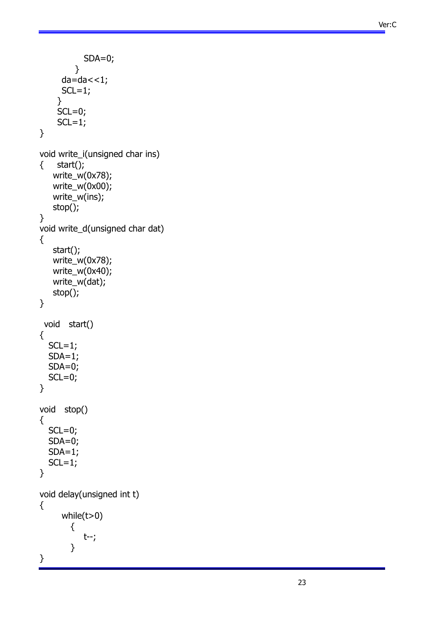```
SDA=0; } 
     da=da < 1;SCL=1; } 
    SCL=0;SCL=1;} 
void write_i(unsigned char ins) 
{ start(); 
    write_w(0x78); 
    write_w(0x00); 
    write_w(ins); 
    stop(); 
} 
void write_d(unsigned char dat) 
{ 
    start(); 
    write_w(0x78); 
   write_w(0x40);
    write_w(dat); 
    stop(); 
} 
  void start() 
{ 
  SCL=1;SDA=1; SDA=0; 
  SCL=0;} 
void stop() 
{ 
  SCL=0; SDA=0; 
  SDA=1;SCL=1;} 
void delay(unsigned int t) 
{ 
      while(t>0) 
         { 
            t--; 
         } 
}
```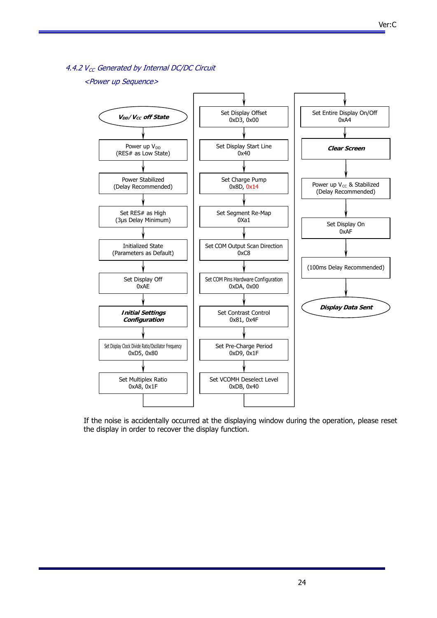4.4.2  $V_{CC}$  Generated by Internal DC/DC Circuit

#### <Power up Sequence>



If the noise is accidentally occurred at the displaying window during the operation, please reset the display in order to recover the display function.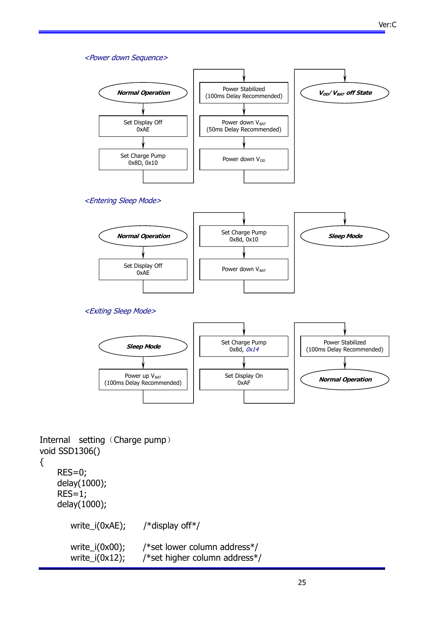#### <Power down Sequence>





<Exiting Sleep Mode>



Internal setting (Charge pump) void SSD1306()

```
{
```
 RES=0; delay(1000);  $RES=1;$  delay(1000); write\_i(0xAE); /\*display off\*/ write\_i(0x00); /\*set lower column address\*/ write\_i(0x12); /\*set higher column address\*/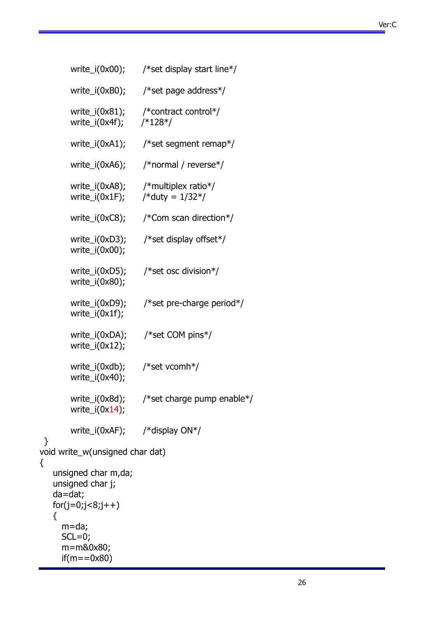Ver:C

|        | write_i(0x00);                                                           | /*set display start line*/                                             |
|--------|--------------------------------------------------------------------------|------------------------------------------------------------------------|
|        | write_i(0xB0);                                                           | /*set page address*/                                                   |
|        |                                                                          | write_i(0x81); /*contract control*/<br>write_i(0x4f); /*128*/          |
|        | write_i(0xA1);                                                           | /*set segment remap*/                                                  |
|        | write_i(0xA6);                                                           | /*normal / reverse*/                                                   |
|        |                                                                          | write_i(0xA8); /*multiplex ratio*/<br>write_i(0x1F); /*duty = $1/32*/$ |
|        | write_i(0xC8);                                                           | /*Com scan direction*/                                                 |
|        | write_ $i(0x00)$ ;                                                       | write_i(0xD3); /*set display offset*/                                  |
|        | write_ $i(0x80)$ ;                                                       | write_i(0xD5); /*set osc division*/                                    |
|        | write_ $i(0x1f)$ ;                                                       | write_i(0xD9); /*set pre-charge period*/                               |
|        | write_ $i(0x12)$ ;                                                       | write_i(0xDA); /*set COM pins*/                                        |
|        | write_i(0xdb); /*set vcomh*/<br>write_ $i(0x40)$ ;                       |                                                                        |
|        | write_i(0x8d);<br>write_ $i(0x14)$ ;                                     | /*set charge pump enable*/                                             |
|        | write_i(0xAF); /*display $ON*/$                                          |                                                                        |
| }      | void write_w(unsigned char dat)                                          |                                                                        |
| {<br>₹ | unsigned char m,da;<br>unsigned char j;<br>da=dat;<br>$for(j=0,j<8,j++)$ |                                                                        |
|        | $m = da;$<br>$SCL=0;$<br>m=m&0x80;<br>$if(m = 0x80)$                     |                                                                        |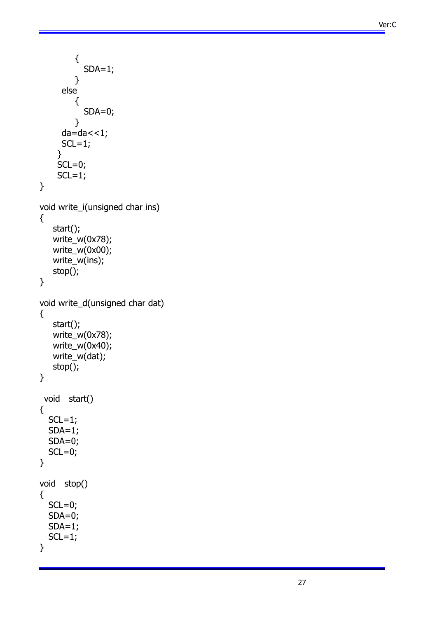```
 { 
            SDA=1;
          } 
      else 
          { 
            SDA=0; } 
     da=da < 1;SCL=1; } 
    SCL=0;
    SCL=1;} 
void write_i(unsigned char ins) 
{ 
    start(); 
   write_w(0x78);
    write_w(0x00); 
    write_w(ins); 
    stop(); 
} 
void write_d(unsigned char dat) 
{ 
    start(); 
    write_w(0x78); 
    write_w(0x40); 
    write_w(dat); 
    stop(); 
} 
  void start() 
{ 
  SCL=1;SDA=1; SDA=0; 
  SCL=0;} 
void stop() 
{ 
  SCL=0; SDA=0; 
  SDA=1;
  SCL=1;}
```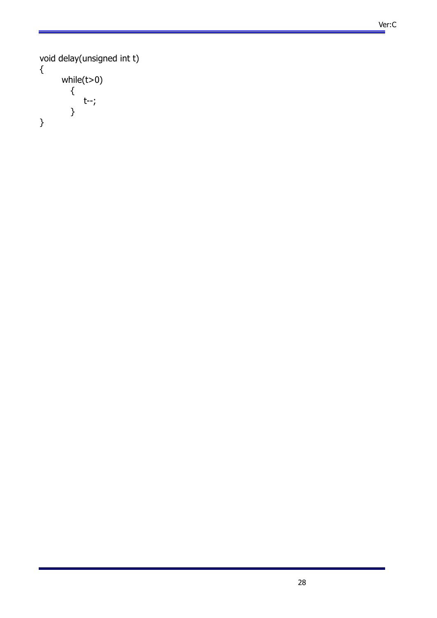```
 Ver:C
```

```
void delay(unsigned int t) 
{
 while(t>0) 
 { 
           t--; 
        } 
}
```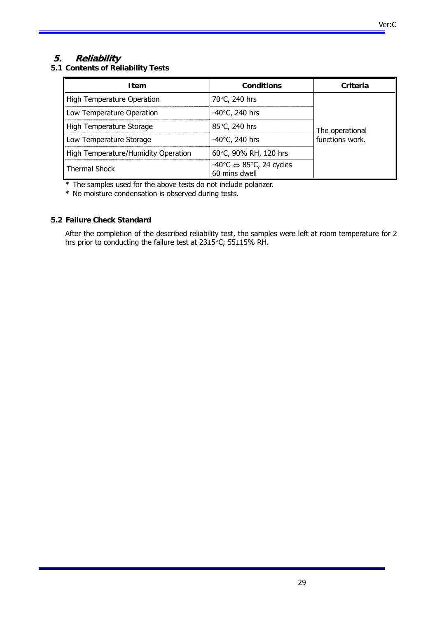# **5. Reliability**

**5.1 Contents of Reliability Tests** 

| <b>Item</b>                         | <b>Conditions</b>                                                            | Criteria        |
|-------------------------------------|------------------------------------------------------------------------------|-----------------|
| High Temperature Operation          | 70°C, 240 hrs                                                                |                 |
| Low Temperature Operation           | -40 $\degree$ C, 240 hrs                                                     |                 |
| High Temperature Storage            | 85°C, 240 hrs                                                                | The operational |
| Low Temperature Storage             | $-40^{\circ}$ C, 240 hrs                                                     | functions work. |
| High Temperature/Humidity Operation | 60°C, 90% RH, 120 hrs                                                        |                 |
| Thermal Shock                       | -40 $\degree$ C $\Leftrightarrow$ 85 $\degree$ C, 24 cycles<br>60 mins dwell |                 |

\* The samples used for the above tests do not include polarizer.

\* No moisture condensation is observed during tests.

#### **5.2 Failure Check Standard**

After the completion of the described reliability test, the samples were left at room temperature for 2 hrs prior to conducting the failure test at  $23\pm5^{\circ}$ C;  $55\pm15\%$  RH.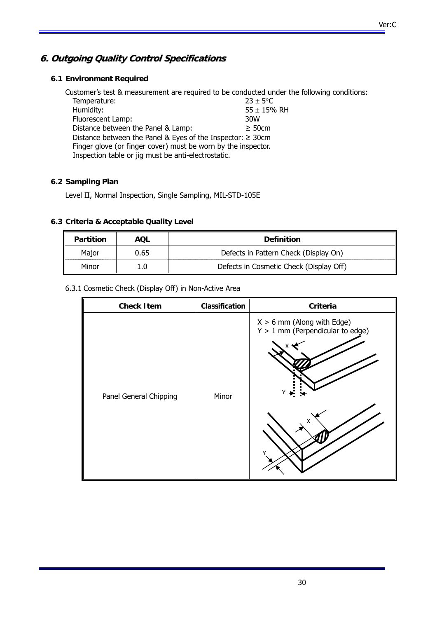# **6. Outgoing Quality Control Specifications**

#### **6.1 Environment Required**

Customer's test & measurement are required to be conducted under the following conditions: Temperature:  $23 \pm 5^{\circ}$ C Humidity:  $55 \pm 15%$  RH Fluorescent Lamp:  $55 \pm 15%$  RH Fluorescent Lamp: Distance between the Panel & Lamp:  $\geq$  50cm Distance between the Panel & Eyes of the Inspector: ≥ 30cm Finger glove (or finger cover) must be worn by the inspector. Inspection table or jig must be anti-electrostatic.

#### **6.2 Sampling Plan**

Level II, Normal Inspection, Single Sampling, MIL-STD-105E

#### **6.3 Criteria & Acceptable Quality Level**

| Partition | AOL  | <b>Definition</b>                       |
|-----------|------|-----------------------------------------|
| Major     | 0.65 | Defects in Pattern Check (Display On)   |
| Minor     | 1.0  | Defects in Cosmetic Check (Display Off) |

6.3.1 Cosmetic Check (Display Off) in Non-Active Area

| <b>Check Item</b>      | Classification | <b>Criteria</b>                                                              |
|------------------------|----------------|------------------------------------------------------------------------------|
| Panel General Chipping | Minor          | $X > 6$ mm (Along with Edge)<br>$Y > 1$ mm (Perpendicular to edge)<br>Y<br>X |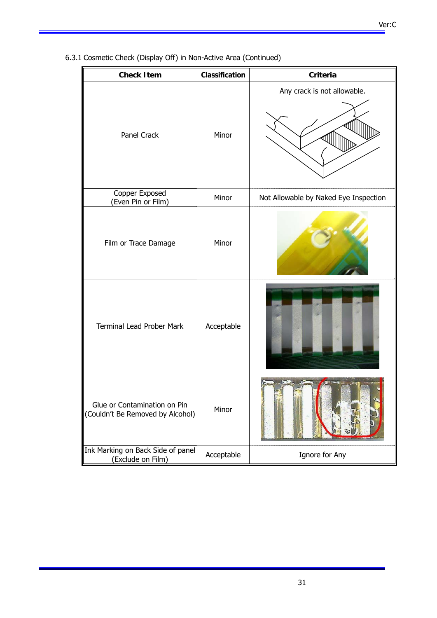6.3.1 Cosmetic Check (Display Off) in Non-Active Area (Continued)

| Classification<br><b>Check Item</b>                              |            | <b>Criteria</b>                       |  |
|------------------------------------------------------------------|------------|---------------------------------------|--|
| Panel Crack                                                      | Minor      | Any crack is not allowable.           |  |
| Copper Exposed<br>(Even Pin or Film)                             | Minor      | Not Allowable by Naked Eye Inspection |  |
| Film or Trace Damage                                             | Minor      |                                       |  |
| <b>Terminal Lead Prober Mark</b>                                 | Acceptable |                                       |  |
| Glue or Contamination on Pin<br>(Couldn't Be Removed by Alcohol) | Minor      |                                       |  |
| Ink Marking on Back Side of panel<br>(Exclude on Film)           | Acceptable | Ignore for Any                        |  |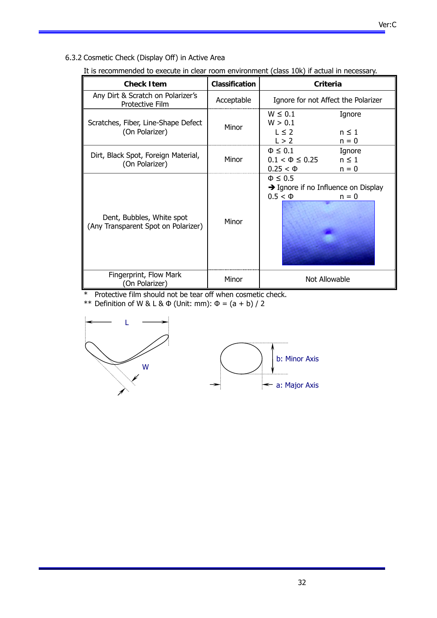6.3.2 Cosmetic Check (Display Off) in Active Area

| <b>Check Item</b>                                                | Classification | Criteria                                                                                      |
|------------------------------------------------------------------|----------------|-----------------------------------------------------------------------------------------------|
| Any Dirt & Scratch on Polarizer's<br>Protective Film             | Acceptable     | Ignore for not Affect the Polarizer                                                           |
| Scratches, Fiber, Line-Shape Defect<br>(On Polarizer)            | Minor          | $W \leq 0.1$<br>Ignore<br>W > 0.1<br>$L \leq 2$<br>$n \leq 1$<br>L > 2<br>$n = 0$             |
| Dirt, Black Spot, Foreign Material,<br>(On Polarizer)            | Minor          | $\Phi \leq 0.1$<br>Ignore<br>$n \leq 1$<br>$0.1 < \Phi \leq 0.25$<br>$0.25 < \Phi$<br>$n = 0$ |
| Dent, Bubbles, White spot<br>(Any Transparent Spot on Polarizer) | Minor          | $\Phi \leq 0.5$<br>$\rightarrow$ Ignore if no Influence on Display<br>$0.5 < \Phi$<br>$n = 0$ |
| Fingerprint, Flow Mark<br>(On Polarizer)                         | Minor          | Not Allowable                                                                                 |

It is recommended to execute in clear room environment (class 10k) if actual in necessary.

\* Protective film should not be tear off when cosmetic check.

\*\* Definition of W & L & Φ (Unit: mm): Φ = (a + b) / 2



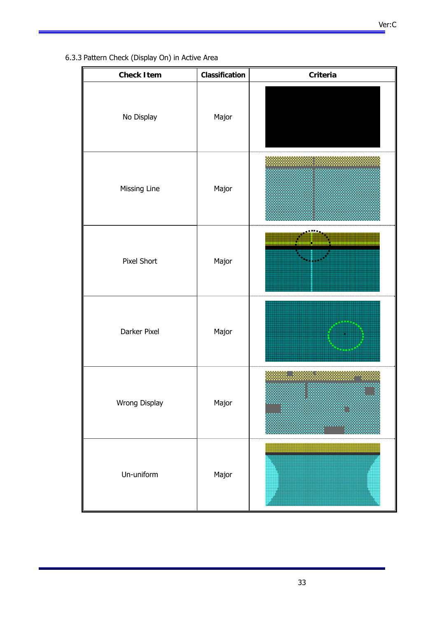6.3.3 Pattern Check (Display On) in Active Area

| <b>Check Item</b> | Classification | Criteria                                  |  |
|-------------------|----------------|-------------------------------------------|--|
| No Display        | Major          |                                           |  |
| Missing Line      | Major          |                                           |  |
| Pixel Short       | Major          |                                           |  |
| Darker Pixel      | Major          | <b><i><u>A</u></i></b> = 1 A <sup>0</sup> |  |
| Wrong Display     | Major          |                                           |  |
| Un-uniform        | Major          |                                           |  |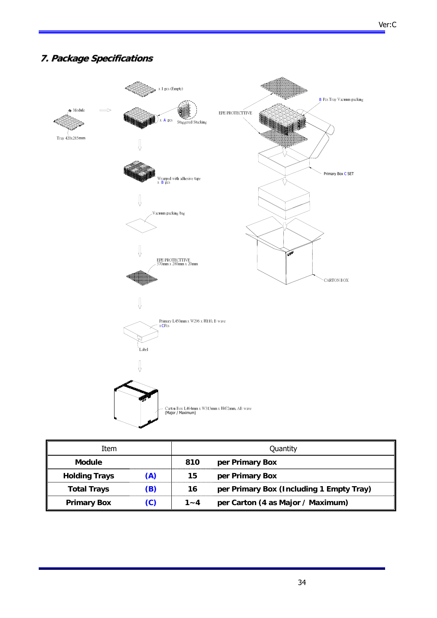# **7. Package Specifications**



| Item                 |     | Quantity |                                          |  |
|----------------------|-----|----------|------------------------------------------|--|
| <b>Module</b>        |     | 810      | per Primary Box                          |  |
| <b>Holding Trays</b> | (A) | 15       | per Primary Box                          |  |
| <b>Total Trays</b>   | (B) | 16       | per Primary Box (Including 1 Empty Tray) |  |
| <b>Primary Box</b>   | (C) | $1 - 4$  | per Carton (4 as Major / Maximum)        |  |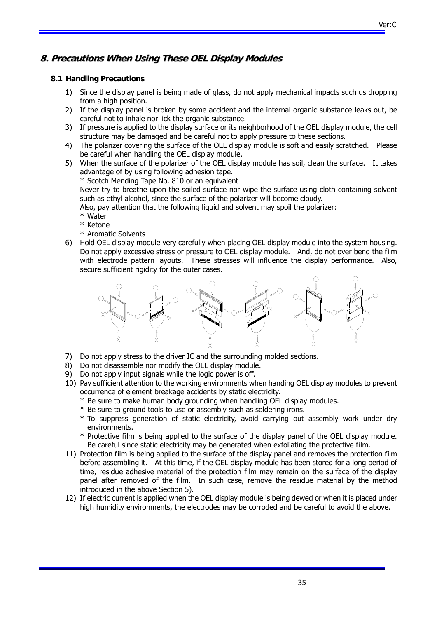# **8. Precautions When Using These OEL Display Modules**

#### **8.1 Handling Precautions**

- 1) Since the display panel is being made of glass, do not apply mechanical impacts such us dropping from a high position.
- 2) If the display panel is broken by some accident and the internal organic substance leaks out, be careful not to inhale nor lick the organic substance.
- 3) If pressure is applied to the display surface or its neighborhood of the OEL display module, the cell structure may be damaged and be careful not to apply pressure to these sections.
- 4) The polarizer covering the surface of the OEL display module is soft and easily scratched. Please be careful when handling the OEL display module.
- 5) When the surface of the polarizer of the OEL display module has soil, clean the surface. It takes advantage of by using following adhesion tape.

\* Scotch Mending Tape No. 810 or an equivalent

Never try to breathe upon the soiled surface nor wipe the surface using cloth containing solvent such as ethyl alcohol, since the surface of the polarizer will become cloudy.

Also, pay attention that the following liquid and solvent may spoil the polarizer:

- \* Water
- \* Ketone
- \* Aromatic Solvents
- 6) Hold OEL display module very carefully when placing OEL display module into the system housing. Do not apply excessive stress or pressure to OEL display module. And, do not over bend the film with electrode pattern layouts. These stresses will influence the display performance. Also, secure sufficient rigidity for the outer cases.



- 7) Do not apply stress to the driver IC and the surrounding molded sections.
- 8) Do not disassemble nor modify the OEL display module.
- 9) Do not apply input signals while the logic power is off.
- 10) Pay sufficient attention to the working environments when handing OEL display modules to prevent occurrence of element breakage accidents by static electricity.
	- \* Be sure to make human body grounding when handling OEL display modules.
	- \* Be sure to ground tools to use or assembly such as soldering irons.
	- \* To suppress generation of static electricity, avoid carrying out assembly work under dry environments.
	- \* Protective film is being applied to the surface of the display panel of the OEL display module. Be careful since static electricity may be generated when exfoliating the protective film.
- 11) Protection film is being applied to the surface of the display panel and removes the protection film before assembling it. At this time, if the OEL display module has been stored for a long period of time, residue adhesive material of the protection film may remain on the surface of the display panel after removed of the film. In such case, remove the residue material by the method introduced in the above Section 5).
- 12) If electric current is applied when the OEL display module is being dewed or when it is placed under high humidity environments, the electrodes may be corroded and be careful to avoid the above.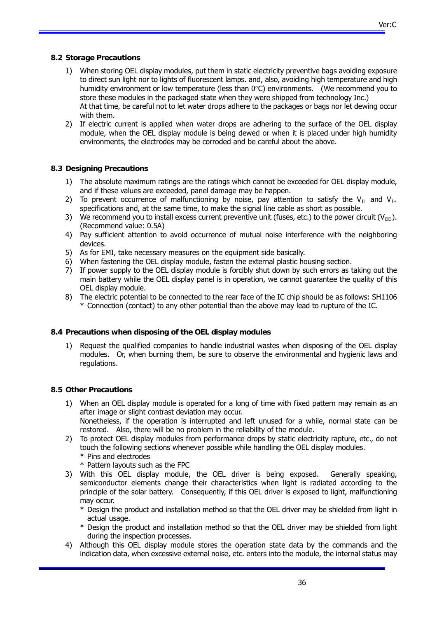Ver:C

# **8.2 Storage Precautions**

- 1) When storing OEL display modules, put them in static electricity preventive bags avoiding exposure to direct sun light nor to lights of fluorescent lamps. and, also, avoiding high temperature and high humidity environment or low temperature (less than  $0^{\circ}$ C) environments. (We recommend you to store these modules in the packaged state when they were shipped from technology Inc.) At that time, be careful not to let water drops adhere to the packages or bags nor let dewing occur with them.
- 2) If electric current is applied when water drops are adhering to the surface of the OEL display module, when the OEL display module is being dewed or when it is placed under high humidity environments, the electrodes may be corroded and be careful about the above.

# **8.3 Designing Precautions**

- 1) The absolute maximum ratings are the ratings which cannot be exceeded for OEL display module, and if these values are exceeded, panel damage may be happen.
- 2) To prevent occurrence of malfunctioning by noise, pay attention to satisfy the V<sub>IL</sub> and V<sub>IH</sub> specifications and, at the same time, to make the signal line cable as short as possible.
- 3) We recommend you to install excess current preventive unit (fuses, etc.) to the power circuit ( $V_{\text{DD}}$ ). (Recommend value: 0.5A)
- 4) Pay sufficient attention to avoid occurrence of mutual noise interference with the neighboring devices.
- 5) As for EMI, take necessary measures on the equipment side basically.
- 6) When fastening the OEL display module, fasten the external plastic housing section.
- 7) If power supply to the OEL display module is forcibly shut down by such errors as taking out the main battery while the OEL display panel is in operation, we cannot guarantee the quality of this OEL display module.
- 8) The electric potential to be connected to the rear face of the IC chip should be as follows: SH1106 \* Connection (contact) to any other potential than the above may lead to rupture of the IC.

# **8.4 Precautions when disposing of the OEL display modules**

1) Request the qualified companies to handle industrial wastes when disposing of the OEL display modules. Or, when burning them, be sure to observe the environmental and hygienic laws and regulations.

# **8.5 Other Precautions**

- 1) When an OEL display module is operated for a long of time with fixed pattern may remain as an after image or slight contrast deviation may occur. Nonetheless, if the operation is interrupted and left unused for a while, normal state can be
	- restored. Also, there will be no problem in the reliability of the module.
- 2) To protect OEL display modules from performance drops by static electricity rapture, etc., do not touch the following sections whenever possible while handling the OEL display modules. \* Pins and electrodes
	- \* Pattern layouts such as the FPC

за в селото на селото на селото на 1946 година в 1948 година в 1948 година, които се представа на 1940 година<br>В 1942 година од селото на 1949 година од селото на 1949 година, които се представа на 1949 година, които се п

- 3) With this OEL display module, the OEL driver is being exposed. Generally speaking, semiconductor elements change their characteristics when light is radiated according to the principle of the solar battery. Consequently, if this OEL driver is exposed to light, malfunctioning may occur.
	- \* Design the product and installation method so that the OEL driver may be shielded from light in actual usage.
	- \* Design the product and installation method so that the OEL driver may be shielded from light during the inspection processes.
- 4) Although this OEL display module stores the operation state data by the commands and the indication data, when excessive external noise, etc. enters into the module, the internal status may